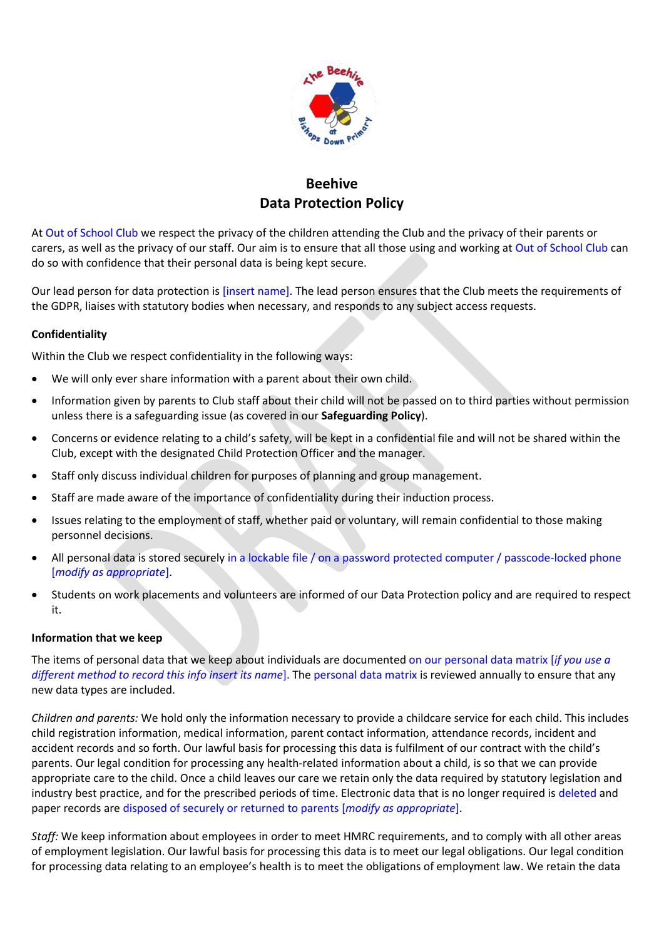

# **Beehive Data Protection Policy**

At Out of School Club we respect the privacy of the children attending the Club and the privacy of their parents or carers, as well as the privacy of our staff. Our aim is to ensure that all those using and working at Out of School Club can do so with confidence that their personal data is being kept secure.

Our lead person for data protection is [insert name]. The lead person ensures that the Club meets the requirements of the GDPR, liaises with statutory bodies when necessary, and responds to any subject access requests.

## **Confidentiality**

Within the Club we respect confidentiality in the following ways:

- We will only ever share information with a parent about their own child.
- Information given by parents to Club staff about their child will not be passed on to third parties without permission unless there is a safeguarding issue (as covered in our **Safeguarding Policy**).
- Concerns or evidence relating to a child's safety, will be kept in a confidential file and will not be shared within the Club, except with the designated Child Protection Officer and the manager.
- Staff only discuss individual children for purposes of planning and group management.
- Staff are made aware of the importance of confidentiality during their induction process.
- Issues relating to the employment of staff, whether paid or voluntary, will remain confidential to those making personnel decisions.
- All personal data is stored securely in a lockable file / on a password protected computer / passcode-locked phone [*modify as appropriate*].
- Students on work placements and volunteers are informed of our Data Protection policy and are required to respect it.

### **Information that we keep**

The items of personal data that we keep about individuals are documented on our personal data matrix [*if you use a different method to record this info insert its name*]. The personal data matrix is reviewed annually to ensure that any new data types are included.

*Children and parents:* We hold only the information necessary to provide a childcare service for each child. This includes child registration information, medical information, parent contact information, attendance records, incident and accident records and so forth. Our lawful basis for processing this data is fulfilment of our contract with the child's parents. Our legal condition for processing any health-related information about a child, is so that we can provide appropriate care to the child. Once a child leaves our care we retain only the data required by statutory legislation and industry best practice, and for the prescribed periods of time. Electronic data that is no longer required is deleted and paper records are disposed of securely or returned to parents [*modify as appropriate*].

*Staff:* We keep information about employees in order to meet HMRC requirements, and to comply with all other areas of employment legislation. Our lawful basis for processing this data is to meet our legal obligations. Our legal condition for processing data relating to an employee's health is to meet the obligations of employment law. We retain the data